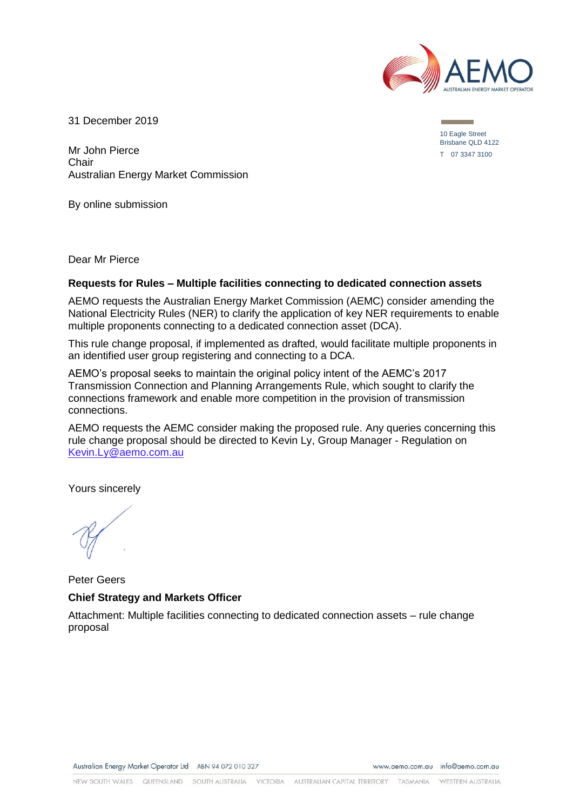

31 December 2019

Mr John Pierce **Chair** Australian Energy Market Commission

By online submission

Dear Mr Pierce

#### **Requests for Rules – Multiple facilities connecting to dedicated connection assets**

AEMO requests the Australian Energy Market Commission (AEMC) consider amending the National Electricity Rules (NER) to clarify the application of key NER requirements to enable multiple proponents connecting to a dedicated connection asset (DCA).

This rule change proposal, if implemented as drafted, would facilitate multiple proponents in an identified user group registering and connecting to a DCA.

AEMO's proposal seeks to maintain the original policy intent of the AEMC's 2017 Transmission Connection and Planning Arrangements Rule, which sought to clarify the connections framework and enable more competition in the provision of transmission connections.

AEMO requests the AEMC consider making the proposed rule. Any queries concerning this rule change proposal should be directed to Kevin Ly, Group Manager - Regulation on [Kevin.Ly@aemo.com.au](mailto:Kevin.Ly@aemo.com.au)

Yours sincerely

Peter Geers **Chief Strategy and Markets Officer**

Attachment: Multiple facilities connecting to dedicated connection assets – rule change proposal

10 Eagle Street Brisbane QLD 4122 T 07 3347 3100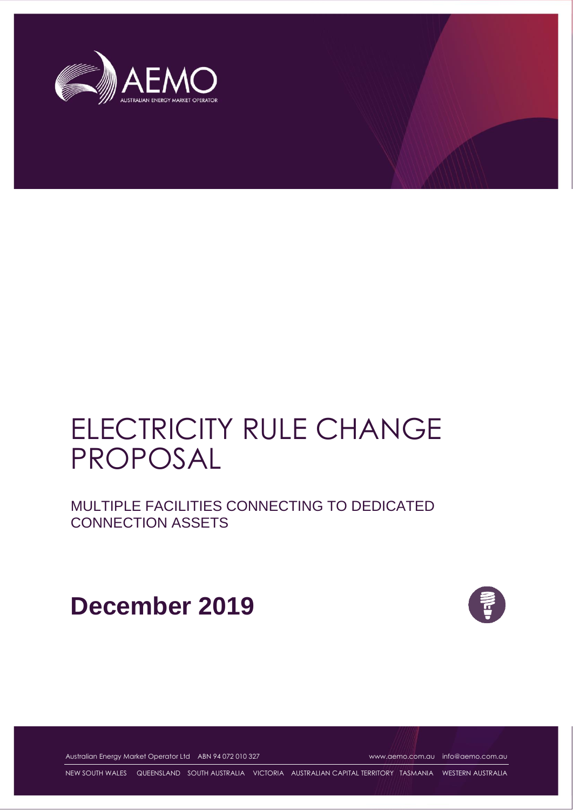

# ELECTRICITY RULE CHANGE PROPOSAL

MULTIPLE FACILITIES CONNECTING TO DEDICATED CONNECTION ASSETS

**December 2019**



Australian Energy Market Operator Ltd ABN 94 072 010 327 [www.aemo.com.au](http://www.aemo.com.au/) [info@aemo.com.au](mailto:info@aemo.com.au)

NEW SOUTH WALES QUEENSLAND SOUTH AUSTRALIA VICTORIA AUSTRALIAN CAPITAL TERRITORY TASMANIA WESTERN AUSTRALIA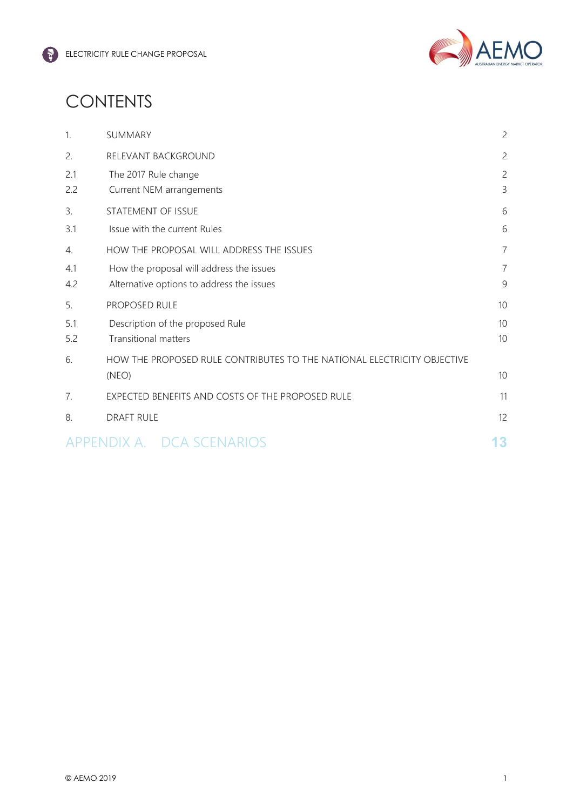

# **CONTENTS**

| $\mathbf{1}$          | SUMMARY                                                                 | $\overline{c}$ |
|-----------------------|-------------------------------------------------------------------------|----------------|
| 2.                    | RELEVANT BACKGROUND                                                     | $\overline{c}$ |
| 2.1                   | The 2017 Rule change                                                    | $\overline{c}$ |
| 2.2                   | Current NEM arrangements                                                | 3              |
| 3.                    | STATEMENT OF ISSUE                                                      | 6              |
| 3.1                   | Issue with the current Rules                                            | 6              |
| $\mathcal{A}_{\cdot}$ | HOW THE PROPOSAL WILL ADDRESS THE ISSUES                                | $\overline{7}$ |
| 4.1                   | How the proposal will address the issues                                | $\overline{7}$ |
| 4.2                   | Alternative options to address the issues                               | $\mathsf 9$    |
| 5.                    | PROPOSED RULE                                                           | 10             |
| 5.1                   | Description of the proposed Rule                                        | 10             |
| 5.2                   | <b>Transitional matters</b>                                             | 10             |
| 6.                    | HOW THE PROPOSED RULE CONTRIBUTES TO THE NATIONAL ELECTRICITY OBJECTIVE |                |
|                       | (NEO)                                                                   | 10             |
| 7.                    | EXPECTED BENEFITS AND COSTS OF THE PROPOSED RULE                        | 11             |
| 8.                    | <b>DRAFT RULE</b>                                                       | 12             |
|                       | APPENDIX A. DCA SCENARIOS                                               | 13             |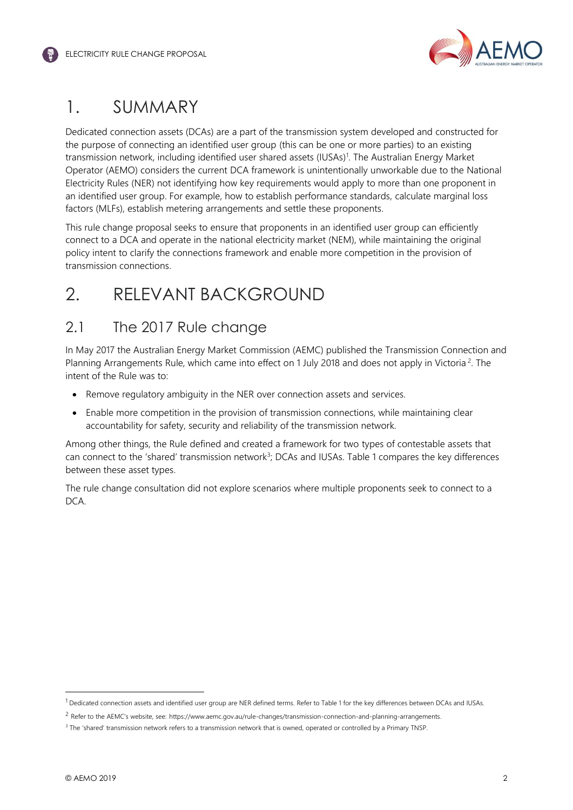

# 1. SUMMARY

Dedicated connection assets (DCAs) are a part of the transmission system developed and constructed for the purpose of connecting an identified user group (this can be one or more parties) to an existing transmission network, including identified user shared assets (IUSAs)<sup>1</sup>. The Australian Energy Market Operator (AEMO) considers the current DCA framework is unintentionally unworkable due to the National Electricity Rules (NER) not identifying how key requirements would apply to more than one proponent in an identified user group. For example, how to establish performance standards, calculate marginal loss factors (MLFs), establish metering arrangements and settle these proponents.

This rule change proposal seeks to ensure that proponents in an identified user group can efficiently connect to a DCA and operate in the national electricity market (NEM), while maintaining the original policy intent to clarify the connections framework and enable more competition in the provision of transmission connections.

# 2. RELEVANT BACKGROUND

# 2.1 The 2017 Rule change

In May 2017 the Australian Energy Market Commission (AEMC) published the Transmission Connection and Planning Arrangements Rule, which came into effect on 1 July 2018 and does not apply in Victoria<sup>2</sup>. The intent of the Rule was to:

- Remove regulatory ambiguity in the NER over connection assets and services.
- Enable more competition in the provision of transmission connections, while maintaining clear accountability for safety, security and reliability of the transmission network.

Among other things, the Rule defined and created a framework for two types of contestable assets that can connect to the 'shared' transmission network<sup>3</sup>; DCAs and IUSAs. Table 1 compares the key differences between these asset types.

The rule change consultation did not explore scenarios where multiple proponents seek to connect to a DCA.

 $1$  Dedicated connection assets and identified user group are NER defined terms. Refer to Table 1 for the key differences between DCAs and IUSAs.

<sup>2</sup> Refer to the AEMC's website, see: [https://www.aemc.gov.au/rule-changes/transmission-connection-and-planning-arrangements.](https://www.aemc.gov.au/rule-changes/transmission-connection-and-planning-arrangements)

<sup>&</sup>lt;sup>3</sup> The 'shared' transmission network refers to a transmission network that is owned, operated or controlled by a Primary TNSP.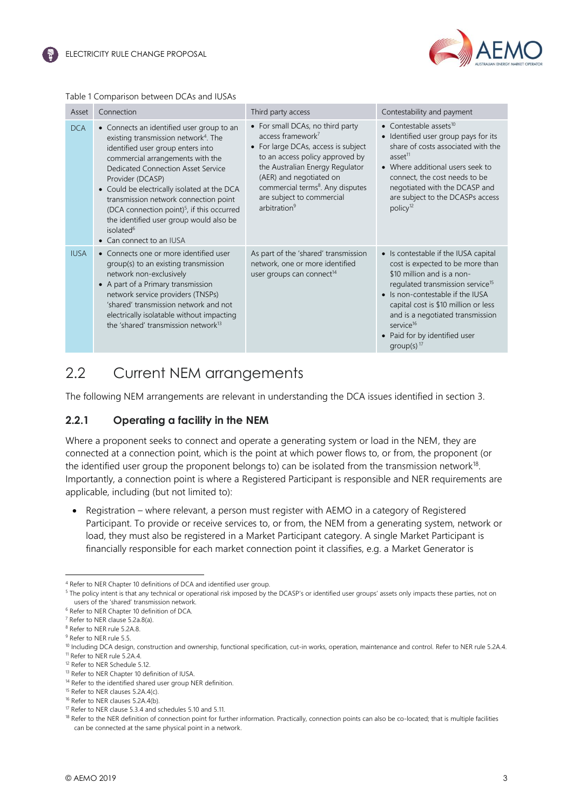

#### Table 1 Comparison between DCAs and IUSAs

| Asset       | Connection                                                                                                                                                                                                                                                                                                                                                                                                                                                                                | Third party access                                                                                                                                                                                                                                                                                                 | Contestability and payment                                                                                                                                                                                                                                                                                                                        |
|-------------|-------------------------------------------------------------------------------------------------------------------------------------------------------------------------------------------------------------------------------------------------------------------------------------------------------------------------------------------------------------------------------------------------------------------------------------------------------------------------------------------|--------------------------------------------------------------------------------------------------------------------------------------------------------------------------------------------------------------------------------------------------------------------------------------------------------------------|---------------------------------------------------------------------------------------------------------------------------------------------------------------------------------------------------------------------------------------------------------------------------------------------------------------------------------------------------|
| <b>DCA</b>  | • Connects an identified user group to an<br>existing transmission network <sup>4</sup> . The<br>identified user group enters into<br>commercial arrangements with the<br><b>Dedicated Connection Asset Service</b><br>Provider (DCASP)<br>• Could be electrically isolated at the DCA<br>transmission network connection point<br>(DCA connection point) <sup>5</sup> , if this occurred<br>the identified user group would also be<br>isolated <sup>6</sup><br>• Can connect to an IUSA | • For small DCAs, no third party<br>access framework <sup>7</sup><br>• For large DCAs, access is subject<br>to an access policy approved by<br>the Australian Energy Regulator<br>(AER) and negotiated on<br>commercial terms <sup>8</sup> . Any disputes<br>are subject to commercial<br>arbitration <sup>9</sup> | • Contestable assets $10$<br>• Identified user group pays for its<br>share of costs associated with the<br>asset <sup>11</sup><br>• Where additional users seek to<br>connect, the cost needs to be<br>negotiated with the DCASP and<br>are subject to the DCASPs access<br>policy <sup>12</sup>                                                  |
| <b>IUSA</b> | • Connects one or more identified user<br>group(s) to an existing transmission<br>network non-exclusively<br>• A part of a Primary transmission<br>network service providers (TNSPs)<br>'shared' transmission network and not<br>electrically isolatable without impacting<br>the 'shared' transmission network <sup>13</sup>                                                                                                                                                             | As part of the 'shared' transmission<br>network, one or more identified<br>user groups can connect <sup>14</sup>                                                                                                                                                                                                   | • Is contestable if the IUSA capital<br>cost is expected to be more than<br>\$10 million and is a non-<br>regulated transmission service <sup>15</sup><br>• Is non-contestable if the IUSA<br>capital cost is \$10 million or less<br>and is a negotiated transmission<br>service <sup>16</sup><br>• Paid for by identified user<br>group(s) $17$ |

# 2.2 Current NEM arrangements

The following NEM arrangements are relevant in understanding the DCA issues identified in section 3.

### **2.2.1 Operating a facility in the NEM**

Where a proponent seeks to connect and operate a generating system or load in the NEM, they are connected at a connection point, which is the point at which power flows to, or from, the proponent (or the identified user group the proponent belongs to) can be isolated from the transmission network<sup>18</sup>. Importantly, a connection point is where a Registered Participant is responsible and NER requirements are applicable, including (but not limited to):

• Registration – where relevant, a person must register with AEMO in a category of Registered Participant. To provide or receive services to, or from, the NEM from a generating system, network or load, they must also be registered in a Market Participant category. A single Market Participant is financially responsible for each market connection point it classifies, e.g. a Market Generator is

<sup>4</sup> Refer to NER Chapter 10 definitions of DCA and identified user group.

<sup>&</sup>lt;sup>5</sup> The policy intent is that any technical or operational risk imposed by the DCASP's or identified user groups' assets only impacts these parties, not on users of the 'shared' transmission network.

<sup>6</sup> Refer to NER Chapter 10 definition of DCA.

<sup>7</sup> Refer to NER clause 5.2a.8(a).

<sup>8</sup> Refer to NER rule 5.2A.8.

<sup>&</sup>lt;sup>9</sup> Refer to NER rule 5.5.

<sup>&</sup>lt;sup>10</sup> Including DCA design, construction and ownership, functional specification, cut-in works, operation, maintenance and control. Refer to NER rule 5.2A.4. <sup>11</sup> Refer to NER rule 5.2A.4.

<sup>&</sup>lt;sup>12</sup> Refer to NER Schedule 5.12.

<sup>13</sup> Refer to NER Chapter 10 definition of IUSA.

<sup>&</sup>lt;sup>14</sup> Refer to the identified shared user group NER definition.

<sup>&</sup>lt;sup>15</sup> Refer to NER clauses 5.2A.4(c).

<sup>&</sup>lt;sup>16</sup> Refer to NER clauses 5.2A.4(b).

<sup>17</sup> Refer to NER clause 5.3.4 and schedules 5.10 and 5.11.

<sup>&</sup>lt;sup>18</sup> Refer to the NER definition of connection point for further information. Practically, connection points can also be co-located; that is multiple facilities can be connected at the same physical point in a network.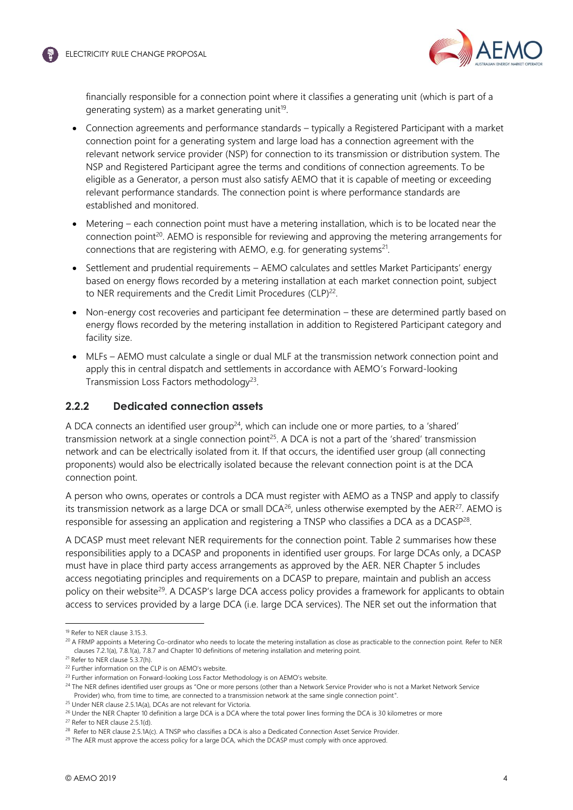

financially responsible for a connection point where it classifies a generating unit (which is part of a generating system) as a market generating unit<sup>19</sup>.

- Connection agreements and performance standards typically a Registered Participant with a market connection point for a generating system and large load has a connection agreement with the relevant network service provider (NSP) for connection to its transmission or distribution system. The NSP and Registered Participant agree the terms and conditions of connection agreements. To be eligible as a Generator, a person must also satisfy AEMO that it is capable of meeting or exceeding relevant performance standards. The connection point is where performance standards are established and monitored.
- Metering each connection point must have a metering installation, which is to be located near the connection point<sup>20</sup>. AEMO is responsible for reviewing and approving the metering arrangements for connections that are registering with AEMO, e.g. for generating systems<sup>21</sup>.
- Settlement and prudential requirements AEMO calculates and settles Market Participants' energy based on energy flows recorded by a metering installation at each market connection point, subject to NER requirements and the Credit Limit Procedures (CLP)<sup>22</sup>.
- Non-energy cost recoveries and participant fee determination these are determined partly based on energy flows recorded by the metering installation in addition to Registered Participant category and facility size.
- MLFs AEMO must calculate a single or dual MLF at the transmission network connection point and apply this in central dispatch and settlements in accordance with AEMO's Forward-looking Transmission Loss Factors methodology<sup>23</sup>.

### **2.2.2 Dedicated connection assets**

A DCA connects an identified user group<sup>24</sup>, which can include one or more parties, to a 'shared' transmission network at a single connection point<sup>25</sup>. A DCA is not a part of the 'shared' transmission network and can be electrically isolated from it. If that occurs, the identified user group (all connecting proponents) would also be electrically isolated because the relevant connection point is at the DCA connection point.

A person who owns, operates or controls a DCA must register with AEMO as a TNSP and apply to classify its transmission network as a large DCA or small DCA<sup>26</sup>, unless otherwise exempted by the AER<sup>27</sup>. AEMO is responsible for assessing an application and registering a TNSP who classifies a DCA as a DCASP<sup>28</sup>.

A DCASP must meet relevant NER requirements for the connection point. Table 2 summarises how these responsibilities apply to a DCASP and proponents in identified user groups. For large DCAs only, a DCASP must have in place third party access arrangements as approved by the AER. NER Chapter 5 includes access negotiating principles and requirements on a DCASP to prepare, maintain and publish an access policy on their website<sup>29</sup>. A DCASP's large DCA access policy provides a framework for applicants to obtain access to services provided by a large DCA (i.e. large DCA services). The NER set out the information that

l

<sup>27</sup> Refer to NER clause 2.5.1(d).

<sup>19</sup> Refer to NER clause 3.15.3.

<sup>&</sup>lt;sup>20</sup> A FRMP appoints a Metering Co-ordinator who needs to locate the metering installation as close as practicable to the connection point. Refer to NER clauses 7.2.1(a), 7.8.1(a), 7.8.7 and Chapter 10 definitions of metering installation and metering point.

<sup>&</sup>lt;sup>21</sup> Refer to NER clause 5.3.7(h).

<sup>22</sup> Further information on the CLP is on AEMO's website.

<sup>&</sup>lt;sup>23</sup> Further information on Forward-looking Loss Factor Methodology is on AEMO's website.

<sup>&</sup>lt;sup>24</sup> The NER defines identified user groups as "One or more persons (other than a Network Service Provider who is not a Market Network Service Provider) who, from time to time, are connected to a transmission network at the same single connection point".

<sup>25</sup> Under NER clause 2.5.1A(a), DCAs are not relevant for Victoria.

<sup>&</sup>lt;sup>26</sup> Under the NER Chapter 10 definition a large DCA is a DCA where the total power lines forming the DCA is 30 kilometres or more

<sup>&</sup>lt;sup>28</sup> Refer to NER clause 2.5.1A(c). A TNSP who classifies a DCA is also a Dedicated Connection Asset Service Provider.

<sup>&</sup>lt;sup>29</sup> The AER must approve the access policy for a large DCA, which the DCASP must comply with once approved.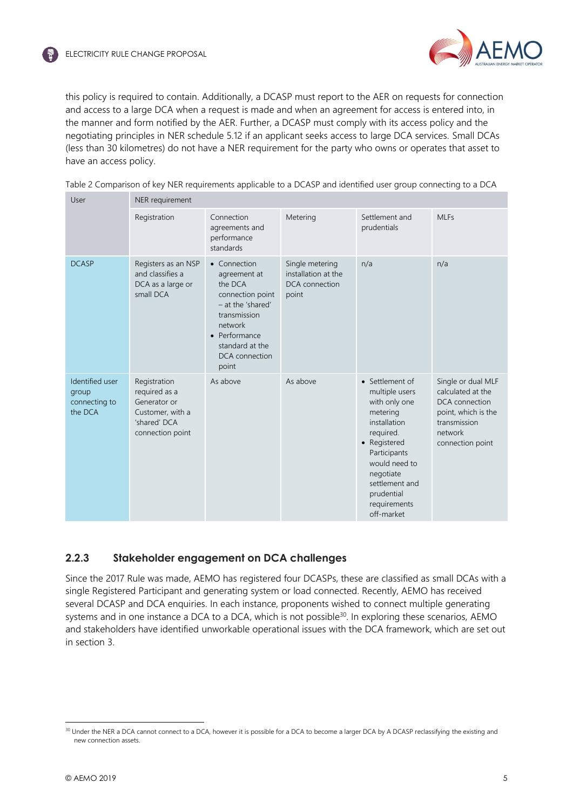

this policy is required to contain. Additionally, a DCASP must report to the AER on requests for connection and access to a large DCA when a request is made and when an agreement for access is entered into, in the manner and form notified by the AER. Further, a DCASP must comply with its access policy and the negotiating principles in NER schedule 5.12 if an applicant seeks access to large DCA services. Small DCAs (less than 30 kilometres) do not have a NER requirement for the party who owns or operates that asset to have an access policy.

| User                                                 | NER requirement                                                                                       |                                                                                                                                                                            |                                                                   |                                                                                                                                                                                                                         |                                                                                                                                 |  |  |
|------------------------------------------------------|-------------------------------------------------------------------------------------------------------|----------------------------------------------------------------------------------------------------------------------------------------------------------------------------|-------------------------------------------------------------------|-------------------------------------------------------------------------------------------------------------------------------------------------------------------------------------------------------------------------|---------------------------------------------------------------------------------------------------------------------------------|--|--|
|                                                      | Registration                                                                                          | Connection<br>agreements and<br>performance<br>standards                                                                                                                   | Metering                                                          | Settlement and<br>prudentials                                                                                                                                                                                           | <b>MLFs</b>                                                                                                                     |  |  |
| <b>DCASP</b>                                         | Registers as an NSP<br>and classifies a<br>DCA as a large or<br>small DCA                             | • Connection<br>agreement at<br>the DCA<br>connection point<br>- at the 'shared'<br>transmission<br>network<br>• Performance<br>standard at the<br>DCA connection<br>point | Single metering<br>installation at the<br>DCA connection<br>point | n/a                                                                                                                                                                                                                     | n/a                                                                                                                             |  |  |
| Identified user<br>group<br>connecting to<br>the DCA | Registration<br>required as a<br>Generator or<br>Customer, with a<br>'shared' DCA<br>connection point | As above                                                                                                                                                                   | As above                                                          | • Settlement of<br>multiple users<br>with only one<br>metering<br>installation<br>required.<br>• Registered<br>Participants<br>would need to<br>negotiate<br>settlement and<br>prudential<br>requirements<br>off-market | Single or dual MLF<br>calculated at the<br>DCA connection<br>point, which is the<br>transmission<br>network<br>connection point |  |  |

| Table 2 Comparison of key NER requirements applicable to a DCASP and identified user group connecting to a DCA |  |  |  |  |  |  |  |  |  |  |
|----------------------------------------------------------------------------------------------------------------|--|--|--|--|--|--|--|--|--|--|
|----------------------------------------------------------------------------------------------------------------|--|--|--|--|--|--|--|--|--|--|

### **2.2.3 Stakeholder engagement on DCA challenges**

Since the 2017 Rule was made, AEMO has registered four DCASPs, these are classified as small DCAs with a single Registered Participant and generating system or load connected. Recently, AEMO has received several DCASP and DCA enquiries. In each instance, proponents wished to connect multiple generating systems and in one instance a DCA to a DCA, which is not possible<sup>30</sup>. In exploring these scenarios, AEMO and stakeholders have identified unworkable operational issues with the DCA framework, which are set out in section 3.

<sup>&</sup>lt;sup>30</sup> Under the NER a DCA cannot connect to a DCA, however it is possible for a DCA to become a larger DCA by A DCASP reclassifying the existing and new connection assets.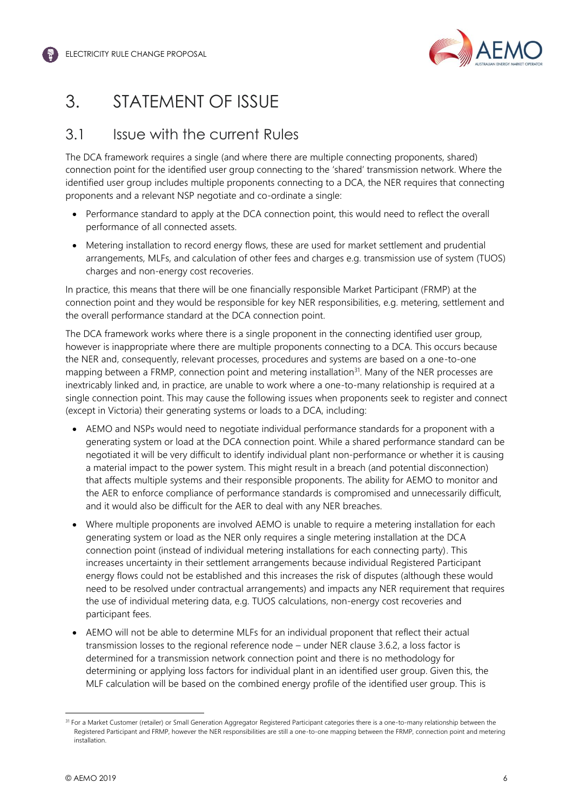

# 3. STATEMENT OF ISSUE

# 3.1 Issue with the current Rules

The DCA framework requires a single (and where there are multiple connecting proponents, shared) connection point for the identified user group connecting to the 'shared' transmission network. Where the identified user group includes multiple proponents connecting to a DCA, the NER requires that connecting proponents and a relevant NSP negotiate and co-ordinate a single:

- Performance standard to apply at the DCA connection point, this would need to reflect the overall performance of all connected assets.
- Metering installation to record energy flows, these are used for market settlement and prudential arrangements, MLFs, and calculation of other fees and charges e.g. transmission use of system (TUOS) charges and non-energy cost recoveries.

In practice, this means that there will be one financially responsible Market Participant (FRMP) at the connection point and they would be responsible for key NER responsibilities, e.g. metering, settlement and the overall performance standard at the DCA connection point.

The DCA framework works where there is a single proponent in the connecting identified user group, however is inappropriate where there are multiple proponents connecting to a DCA. This occurs because the NER and, consequently, relevant processes, procedures and systems are based on a one-to-one mapping between a FRMP, connection point and metering installation $31$ . Many of the NER processes are inextricably linked and, in practice, are unable to work where a one-to-many relationship is required at a single connection point. This may cause the following issues when proponents seek to register and connect (except in Victoria) their generating systems or loads to a DCA, including:

- AEMO and NSPs would need to negotiate individual performance standards for a proponent with a generating system or load at the DCA connection point. While a shared performance standard can be negotiated it will be very difficult to identify individual plant non-performance or whether it is causing a material impact to the power system. This might result in a breach (and potential disconnection) that affects multiple systems and their responsible proponents. The ability for AEMO to monitor and the AER to enforce compliance of performance standards is compromised and unnecessarily difficult, and it would also be difficult for the AER to deal with any NER breaches.
- Where multiple proponents are involved AEMO is unable to require a metering installation for each generating system or load as the NER only requires a single metering installation at the DCA connection point (instead of individual metering installations for each connecting party). This increases uncertainty in their settlement arrangements because individual Registered Participant energy flows could not be established and this increases the risk of disputes (although these would need to be resolved under contractual arrangements) and impacts any NER requirement that requires the use of individual metering data, e.g. TUOS calculations, non-energy cost recoveries and participant fees.
- AEMO will not be able to determine MLFs for an individual proponent that reflect their actual transmission losses to the regional reference node – under NER clause 3.6.2, a loss factor is determined for a transmission network connection point and there is no methodology for determining or applying loss factors for individual plant in an identified user group. Given this, the MLF calculation will be based on the combined energy profile of the identified user group. This is

<sup>&</sup>lt;sup>31</sup> For a Market Customer (retailer) or Small Generation Aggregator Registered Participant categories there is a one-to-many relationship between the Registered Participant and FRMP, however the NER responsibilities are still a one-to-one mapping between the FRMP, connection point and metering installation.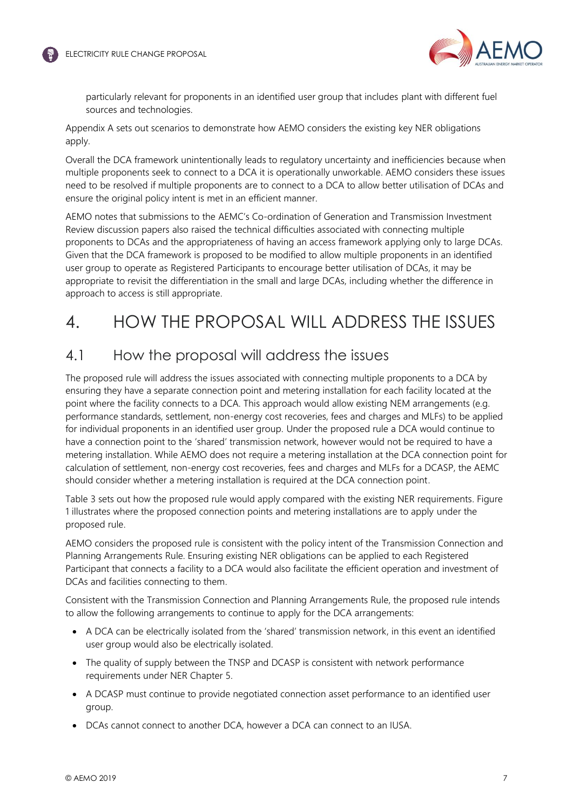

particularly relevant for proponents in an identified user group that includes plant with different fuel sources and technologies.

Appendix A sets out scenarios to demonstrate how AEMO considers the existing key NER obligations apply.

Overall the DCA framework unintentionally leads to regulatory uncertainty and inefficiencies because when multiple proponents seek to connect to a DCA it is operationally unworkable. AEMO considers these issues need to be resolved if multiple proponents are to connect to a DCA to allow better utilisation of DCAs and ensure the original policy intent is met in an efficient manner.

AEMO notes that submissions to the AEMC's Co-ordination of Generation and Transmission Investment Review discussion papers also raised the technical difficulties associated with connecting multiple proponents to DCAs and the appropriateness of having an access framework applying only to large DCAs. Given that the DCA framework is proposed to be modified to allow multiple proponents in an identified user group to operate as Registered Participants to encourage better utilisation of DCAs, it may be appropriate to revisit the differentiation in the small and large DCAs, including whether the difference in approach to access is still appropriate.

# 4. HOW THE PROPOSAL WILL ADDRESS THE ISSUES

# 4.1 How the proposal will address the issues

The proposed rule will address the issues associated with connecting multiple proponents to a DCA by ensuring they have a separate connection point and metering installation for each facility located at the point where the facility connects to a DCA. This approach would allow existing NEM arrangements (e.g. performance standards, settlement, non-energy cost recoveries, fees and charges and MLFs) to be applied for individual proponents in an identified user group. Under the proposed rule a DCA would continue to have a connection point to the 'shared' transmission network, however would not be required to have a metering installation. While AEMO does not require a metering installation at the DCA connection point for calculation of settlement, non-energy cost recoveries, fees and charges and MLFs for a DCASP, the AEMC should consider whether a metering installation is required at the DCA connection point.

Table 3 sets out how the proposed rule would apply compared with the existing NER requirements. Figure 1 illustrates where the proposed connection points and metering installations are to apply under the proposed rule.

AEMO considers the proposed rule is consistent with the policy intent of the Transmission Connection and Planning Arrangements Rule. Ensuring existing NER obligations can be applied to each Registered Participant that connects a facility to a DCA would also facilitate the efficient operation and investment of DCAs and facilities connecting to them.

Consistent with the Transmission Connection and Planning Arrangements Rule, the proposed rule intends to allow the following arrangements to continue to apply for the DCA arrangements:

- A DCA can be electrically isolated from the 'shared' transmission network, in this event an identified user group would also be electrically isolated.
- The quality of supply between the TNSP and DCASP is consistent with network performance requirements under NER Chapter 5.
- A DCASP must continue to provide negotiated connection asset performance to an identified user group.
- DCAs cannot connect to another DCA, however a DCA can connect to an IUSA.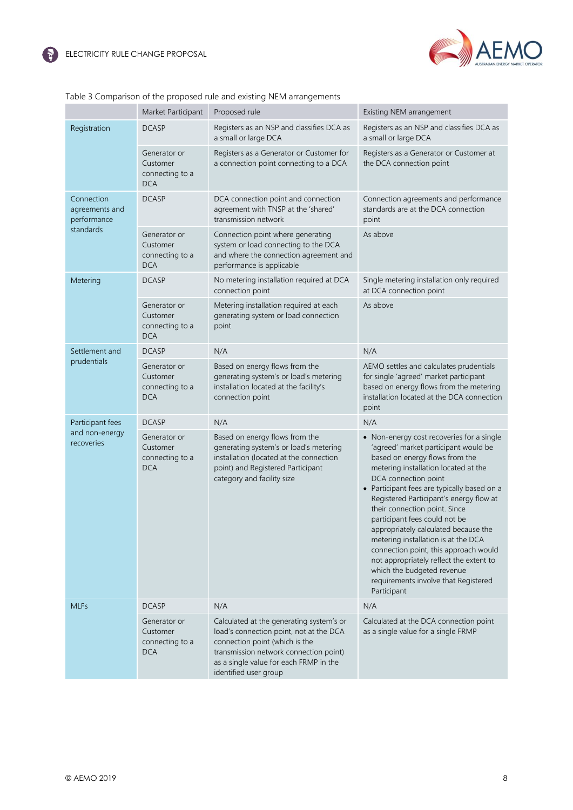

|                                             | Market Participant                                        | Proposed rule                                                                                                                                                                                                                      | Existing NEM arrangement                                                                                                                                                                                                                                                                                                                                                                                                                                                                                                                                                                                |
|---------------------------------------------|-----------------------------------------------------------|------------------------------------------------------------------------------------------------------------------------------------------------------------------------------------------------------------------------------------|---------------------------------------------------------------------------------------------------------------------------------------------------------------------------------------------------------------------------------------------------------------------------------------------------------------------------------------------------------------------------------------------------------------------------------------------------------------------------------------------------------------------------------------------------------------------------------------------------------|
| Registration                                | <b>DCASP</b>                                              | Registers as an NSP and classifies DCA as<br>a small or large DCA                                                                                                                                                                  | Registers as an NSP and classifies DCA as<br>a small or large DCA                                                                                                                                                                                                                                                                                                                                                                                                                                                                                                                                       |
|                                             | Generator or<br>Customer<br>connecting to a<br><b>DCA</b> | Registers as a Generator or Customer for<br>a connection point connecting to a DCA                                                                                                                                                 | Registers as a Generator or Customer at<br>the DCA connection point                                                                                                                                                                                                                                                                                                                                                                                                                                                                                                                                     |
| Connection<br>agreements and<br>performance | <b>DCASP</b>                                              | DCA connection point and connection<br>agreement with TNSP at the 'shared'<br>transmission network                                                                                                                                 | Connection agreements and performance<br>standards are at the DCA connection<br>point                                                                                                                                                                                                                                                                                                                                                                                                                                                                                                                   |
| standards                                   | Generator or<br>Customer<br>connecting to a<br><b>DCA</b> | Connection point where generating<br>system or load connecting to the DCA<br>and where the connection agreement and<br>performance is applicable                                                                                   | As above                                                                                                                                                                                                                                                                                                                                                                                                                                                                                                                                                                                                |
| Metering                                    | <b>DCASP</b>                                              | No metering installation required at DCA<br>connection point                                                                                                                                                                       | Single metering installation only required<br>at DCA connection point                                                                                                                                                                                                                                                                                                                                                                                                                                                                                                                                   |
|                                             | Generator or<br>Customer<br>connecting to a<br><b>DCA</b> | Metering installation required at each<br>generating system or load connection<br>point                                                                                                                                            | As above                                                                                                                                                                                                                                                                                                                                                                                                                                                                                                                                                                                                |
| Settlement and                              | <b>DCASP</b>                                              | N/A                                                                                                                                                                                                                                | N/A                                                                                                                                                                                                                                                                                                                                                                                                                                                                                                                                                                                                     |
| prudentials                                 | Generator or<br>Customer<br>connecting to a<br><b>DCA</b> | Based on energy flows from the<br>generating system's or load's metering<br>installation located at the facility's<br>connection point                                                                                             | AEMO settles and calculates prudentials<br>for single 'agreed' market participant<br>based on energy flows from the metering<br>installation located at the DCA connection<br>point                                                                                                                                                                                                                                                                                                                                                                                                                     |
| Participant fees                            | <b>DCASP</b>                                              | N/A                                                                                                                                                                                                                                | N/A                                                                                                                                                                                                                                                                                                                                                                                                                                                                                                                                                                                                     |
| and non-energy<br>recoveries                | Generator or<br>Customer<br>connecting to a<br><b>DCA</b> | Based on energy flows from the<br>generating system's or load's metering<br>installation (located at the connection<br>point) and Registered Participant<br>category and facility size                                             | • Non-energy cost recoveries for a single<br>'agreed' market participant would be<br>based on energy flows from the<br>metering installation located at the<br>DCA connection point<br>• Participant fees are typically based on a<br>Registered Participant's energy flow at<br>their connection point. Since<br>participant fees could not be<br>appropriately calculated because the<br>metering installation is at the DCA<br>connection point, this approach would<br>not appropriately reflect the extent to<br>which the budgeted revenue<br>requirements involve that Registered<br>Participant |
| <b>MLFs</b>                                 | <b>DCASP</b>                                              | N/A                                                                                                                                                                                                                                | N/A                                                                                                                                                                                                                                                                                                                                                                                                                                                                                                                                                                                                     |
|                                             | Generator or<br>Customer<br>connecting to a<br><b>DCA</b> | Calculated at the generating system's or<br>load's connection point, not at the DCA<br>connection point (which is the<br>transmission network connection point)<br>as a single value for each FRMP in the<br>identified user group | Calculated at the DCA connection point<br>as a single value for a single FRMP                                                                                                                                                                                                                                                                                                                                                                                                                                                                                                                           |

### Table 3 Comparison of the proposed rule and existing NEM arrangements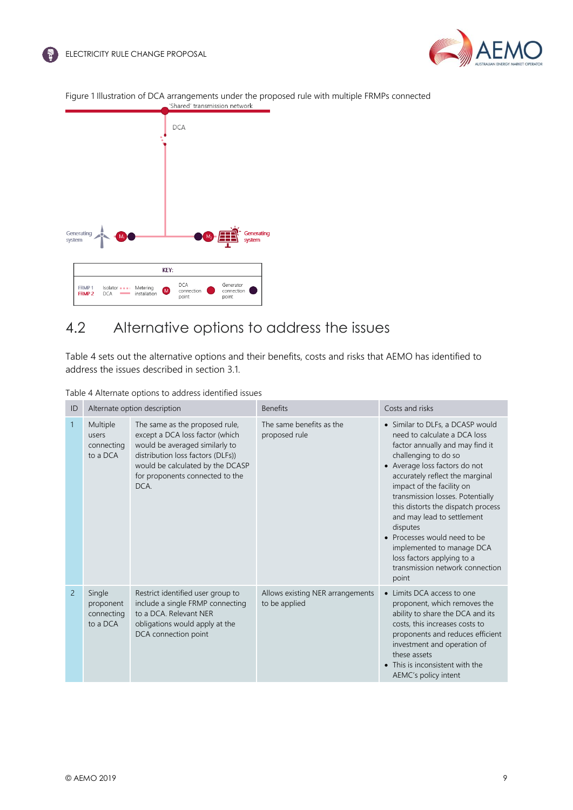



# 4.2 Alternative options to address the issues

Table 4 sets out the alternative options and their benefits, costs and risks that AEMO has identified to address the issues described in section 3.1.

| Table 4 Alternate options to address identified issues |  |  |
|--------------------------------------------------------|--|--|
|                                                        |  |  |

| ID             | Alternate option description                  |                                                                                                                                                                                                                         | <b>Benefits</b>                                   | Costs and risks                                                                                                                                                                                                                                                                                                                                                                                                                                                                         |
|----------------|-----------------------------------------------|-------------------------------------------------------------------------------------------------------------------------------------------------------------------------------------------------------------------------|---------------------------------------------------|-----------------------------------------------------------------------------------------------------------------------------------------------------------------------------------------------------------------------------------------------------------------------------------------------------------------------------------------------------------------------------------------------------------------------------------------------------------------------------------------|
| $\mathbf{1}$   | Multiple<br>users<br>connecting<br>to a DCA   | The same as the proposed rule,<br>except a DCA loss factor (which<br>would be averaged similarly to<br>distribution loss factors (DLFs))<br>would be calculated by the DCASP<br>for proponents connected to the<br>DCA. | The same benefits as the<br>proposed rule         | • Similar to DLFs, a DCASP would<br>need to calculate a DCA loss<br>factor annually and may find it<br>challenging to do so<br>• Average loss factors do not<br>accurately reflect the marginal<br>impact of the facility on<br>transmission losses. Potentially<br>this distorts the dispatch process<br>and may lead to settlement<br>disputes<br>• Processes would need to be<br>implemented to manage DCA<br>loss factors applying to a<br>transmission network connection<br>point |
| $\overline{2}$ | Single<br>proponent<br>connecting<br>to a DCA | Restrict identified user group to<br>include a single FRMP connecting<br>to a DCA. Relevant NER<br>obligations would apply at the<br>DCA connection point                                                               | Allows existing NER arrangements<br>to be applied | • Limits DCA access to one<br>proponent, which removes the<br>ability to share the DCA and its<br>costs, this increases costs to<br>proponents and reduces efficient<br>investment and operation of<br>these assets<br>• This is inconsistent with the<br>AEMC's policy intent                                                                                                                                                                                                          |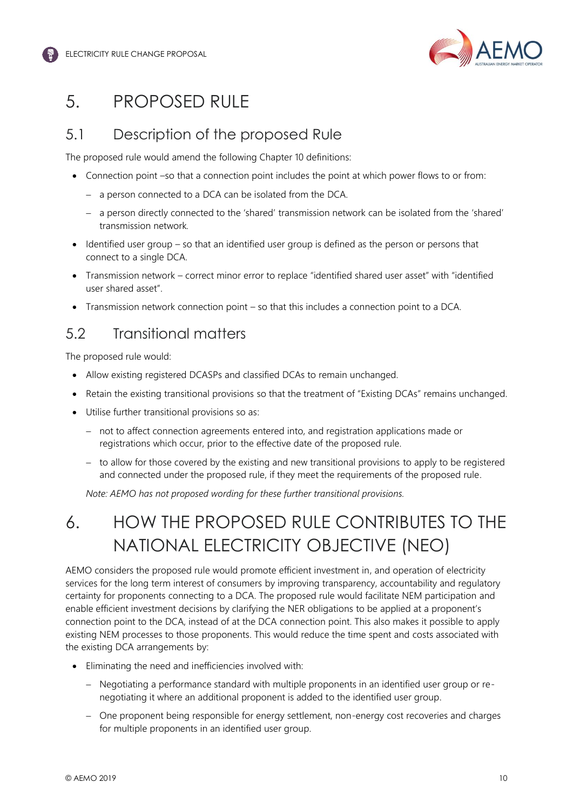

# 5. PROPOSED RULE

# 5.1 Description of the proposed Rule

The proposed rule would amend the following Chapter 10 definitions:

- Connection point –so that a connection point includes the point at which power flows to or from:
	- − a person connected to a DCA can be isolated from the DCA.
	- − a person directly connected to the 'shared' transmission network can be isolated from the 'shared' transmission network*.*
- Identified user group so that an identified user group is defined as the person or persons that connect to a single DCA.
- Transmission network correct minor error to replace "identified shared user asset" with "identified user shared asset".
- Transmission network connection point so that this includes a connection point to a DCA.

# 5.2 Transitional matters

The proposed rule would:

- Allow existing registered DCASPs and classified DCAs to remain unchanged.
- Retain the existing transitional provisions so that the treatment of "Existing DCAs" remains unchanged.
- Utilise further transitional provisions so as:
	- − not to affect connection agreements entered into, and registration applications made or registrations which occur, prior to the effective date of the proposed rule.
	- − to allow for those covered by the existing and new transitional provisions to apply to be registered and connected under the proposed rule, if they meet the requirements of the proposed rule.

*Note: AEMO has not proposed wording for these further transitional provisions.*

# 6. HOW THE PROPOSED RULE CONTRIBUTES TO THE NATIONAL ELECTRICITY OBJECTIVE (NEO)

AEMO considers the proposed rule would promote efficient investment in, and operation of electricity services for the long term interest of consumers by improving transparency, accountability and regulatory certainty for proponents connecting to a DCA. The proposed rule would facilitate NEM participation and enable efficient investment decisions by clarifying the NER obligations to be applied at a proponent's connection point to the DCA, instead of at the DCA connection point. This also makes it possible to apply existing NEM processes to those proponents. This would reduce the time spent and costs associated with the existing DCA arrangements by:

- Eliminating the need and inefficiencies involved with:
	- − Negotiating a performance standard with multiple proponents in an identified user group or renegotiating it where an additional proponent is added to the identified user group.
	- − One proponent being responsible for energy settlement, non-energy cost recoveries and charges for multiple proponents in an identified user group.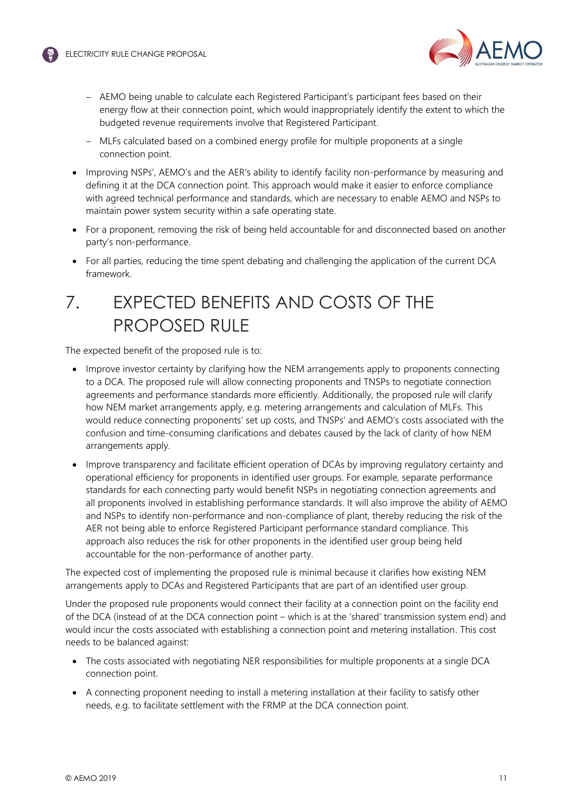

- − AEMO being unable to calculate each Registered Participant's participant fees based on their energy flow at their connection point, which would inappropriately identify the extent to which the budgeted revenue requirements involve that Registered Participant.
- − MLFs calculated based on a combined energy profile for multiple proponents at a single connection point.
- Improving NSPs', AEMO's and the AER's ability to identify facility non-performance by measuring and defining it at the DCA connection point. This approach would make it easier to enforce compliance with agreed technical performance and standards, which are necessary to enable AEMO and NSPs to maintain power system security within a safe operating state.
- For a proponent, removing the risk of being held accountable for and disconnected based on another party's non-performance.
- For all parties, reducing the time spent debating and challenging the application of the current DCA framework.

# 7. EXPECTED BENEFITS AND COSTS OF THE PROPOSED RUI F

The expected benefit of the proposed rule is to:

- Improve investor certainty by clarifying how the NEM arrangements apply to proponents connecting to a DCA. The proposed rule will allow connecting proponents and TNSPs to negotiate connection agreements and performance standards more efficiently. Additionally, the proposed rule will clarify how NEM market arrangements apply, e.g. metering arrangements and calculation of MLFs. This would reduce connecting proponents' set up costs, and TNSPs' and AEMO's costs associated with the confusion and time-consuming clarifications and debates caused by the lack of clarity of how NEM arrangements apply.
- Improve transparency and facilitate efficient operation of DCAs by improving regulatory certainty and operational efficiency for proponents in identified user groups. For example, separate performance standards for each connecting party would benefit NSPs in negotiating connection agreements and all proponents involved in establishing performance standards. It will also improve the ability of AEMO and NSPs to identify non-performance and non-compliance of plant, thereby reducing the risk of the AER not being able to enforce Registered Participant performance standard compliance. This approach also reduces the risk for other proponents in the identified user group being held accountable for the non-performance of another party.

The expected cost of implementing the proposed rule is minimal because it clarifies how existing NEM arrangements apply to DCAs and Registered Participants that are part of an identified user group.

Under the proposed rule proponents would connect their facility at a connection point on the facility end of the DCA (instead of at the DCA connection point – which is at the 'shared' transmission system end) and would incur the costs associated with establishing a connection point and metering installation. This cost needs to be balanced against:

- The costs associated with negotiating NER responsibilities for multiple proponents at a single DCA connection point.
- A connecting proponent needing to install a metering installation at their facility to satisfy other needs, e.g. to facilitate settlement with the FRMP at the DCA connection point.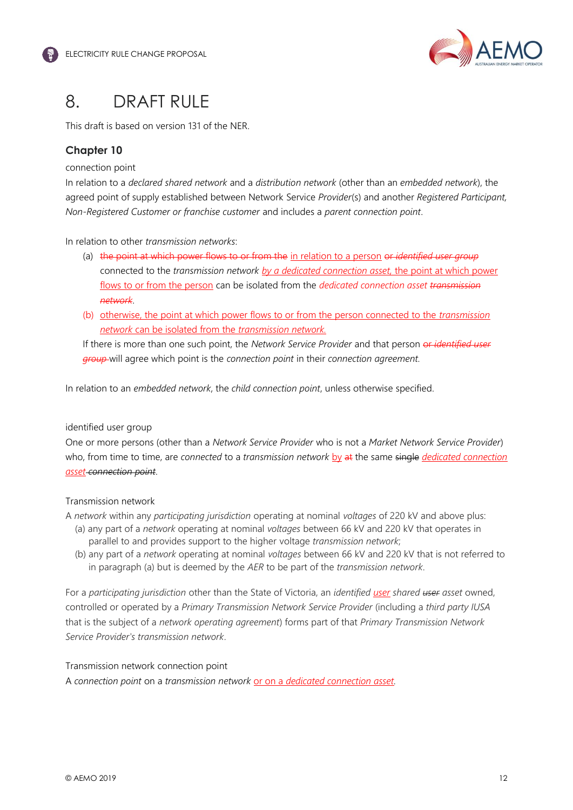

# 8. DRAFT RULE

This draft is based on version 131 of the NER.

### **Chapter 10**

#### connection point

In relation to a *declared shared network* and a *distribution network* (other than an *embedded network*), the agreed point of supply established between Network Service *Provider*(s) and another *Registered Participant, Non-Registered Customer or franchise customer* and includes a *parent connection point*.

### In relation to other *transmission networks*:

- (a) the point at which power flows to or from the in relation to a person or *identified user group* connected to the *transmission network by a dedicated connection asset,* the point at which power flows to or from the person can be isolated from the *dedicated connection asset transmission network*.
- (b) otherwise, the point at which power flows to or from the person connected to the *transmission network* can be isolated from the *transmission network.*

If there is more than one such point, the *Network Service Provider* and that person or *identified user group* will agree which point is the *connection point* in their *connection agreement.*

In relation to an *embedded network*, the *child connection point*, unless otherwise specified.

#### identified user group

One or more persons (other than a *Network Service Provider* who is not a *Market Network Service Provider*) who, from time to time, are *connected* to a *transmission network* by at the same single *dedicated connection asset connection point*.

### Transmission network

A *network* within any *participating jurisdiction* operating at nominal *voltages* of 220 kV and above plus:

- (a) any part of a *network* operating at nominal *voltages* between 66 kV and 220 kV that operates in parallel to and provides support to the higher voltage *transmission network*;
- (b) any part of a *network* operating at nominal *voltages* between 66 kV and 220 kV that is not referred to in paragraph (a) but is deemed by the *AER* to be part of the *transmission network*.

For a *participating jurisdiction* other than the State of Victoria, an *identified user shared user asset* owned, controlled or operated by a *Primary Transmission Network Service Provider* (including a *third party IUSA*  that is the subject of a *network operating agreement*) forms part of that *Primary Transmission Network Service Provider's transmission network*.

#### Transmission network connection point

A *connection point* on a *transmission network* or on a *dedicated connection asset.*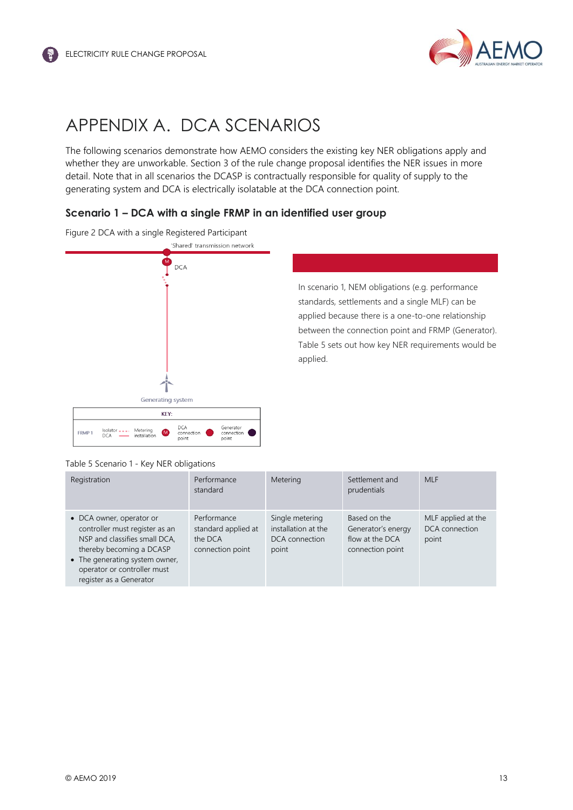

# APPENDIX A. DCA SCENARIOS

The following scenarios demonstrate how AEMO considers the existing key NER obligations apply and whether they are unworkable. Section 3 of the rule change proposal identifies the NER issues in more detail. Note that in all scenarios the DCASP is contractually responsible for quality of supply to the generating system and DCA is electrically isolatable at the DCA connection point.

### **Scenario 1 – DCA with a single FRMP in an identified user group**





In scenario 1, NEM obligations (e.g. performance standards, settlements and a single MLF) can be applied because there is a one-to-one relationship between the connection point and FRMP (Generator). Table 5 sets out how key NER requirements would be applied.

#### Table 5 Scenario 1 - Key NER obligations

| Registration                                                                                                                                                                                                        | Performance<br>standard                                           | Metering                                                          | Settlement and<br>prudentials                                             | <b>MLF</b>                                    |
|---------------------------------------------------------------------------------------------------------------------------------------------------------------------------------------------------------------------|-------------------------------------------------------------------|-------------------------------------------------------------------|---------------------------------------------------------------------------|-----------------------------------------------|
| • DCA owner, operator or<br>controller must register as an<br>NSP and classifies small DCA,<br>thereby becoming a DCASP<br>• The generating system owner,<br>operator or controller must<br>register as a Generator | Performance<br>standard applied at<br>the DCA<br>connection point | Single metering<br>installation at the<br>DCA connection<br>point | Based on the<br>Generator's energy<br>flow at the DCA<br>connection point | MLF applied at the<br>DCA connection<br>point |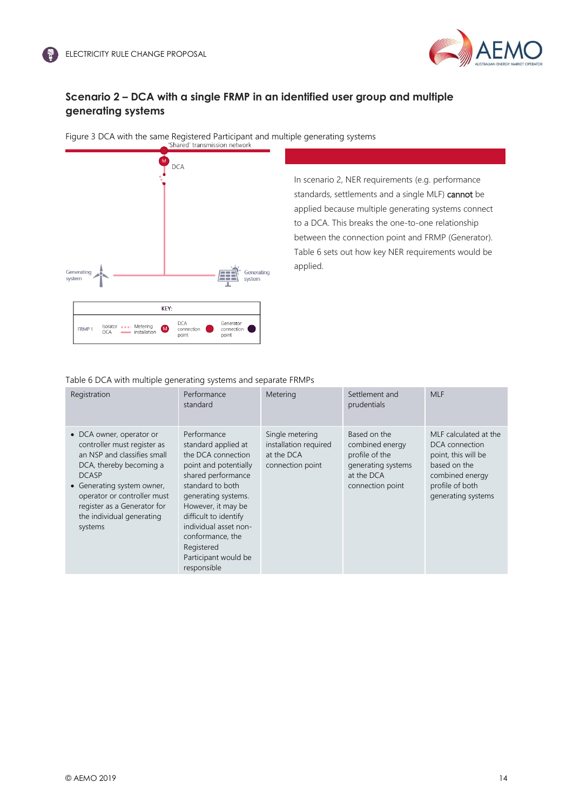

### **Scenario 2 – DCA with a single FRMP in an identified user group and multiple generating systems**



In scenario 2, NER requirements (e.g. performance standards, settlements and a single MLF) cannot be applied because multiple generating systems connect to a DCA. This breaks the one-to-one relationship between the connection point and FRMP (Generator). Table 6 sets out how key NER requirements would be applied.

Table 6 DCA with multiple generating systems and separate FRMPs

| Registration                                                                                                                                                                                                                                                          | Performance<br>standard                                                                                                                                                                                                                                                                             | Metering                                                                   | Settlement and<br>prudentials                                                                             | <b>MLF</b>                                                                                                                                 |
|-----------------------------------------------------------------------------------------------------------------------------------------------------------------------------------------------------------------------------------------------------------------------|-----------------------------------------------------------------------------------------------------------------------------------------------------------------------------------------------------------------------------------------------------------------------------------------------------|----------------------------------------------------------------------------|-----------------------------------------------------------------------------------------------------------|--------------------------------------------------------------------------------------------------------------------------------------------|
| • DCA owner, operator or<br>controller must register as<br>an NSP and classifies small<br>DCA, thereby becoming a<br><b>DCASP</b><br>• Generating system owner,<br>operator or controller must<br>register as a Generator for<br>the individual generating<br>systems | Performance<br>standard applied at<br>the DCA connection<br>point and potentially<br>shared performance<br>standard to both<br>generating systems.<br>However, it may be<br>difficult to identify<br>individual asset non-<br>conformance, the<br>Registered<br>Participant would be<br>responsible | Single metering<br>installation required<br>at the DCA<br>connection point | Based on the<br>combined energy<br>profile of the<br>generating systems<br>at the DCA<br>connection point | MLF calculated at the<br>DCA connection<br>point, this will be<br>based on the<br>combined energy<br>profile of both<br>generating systems |